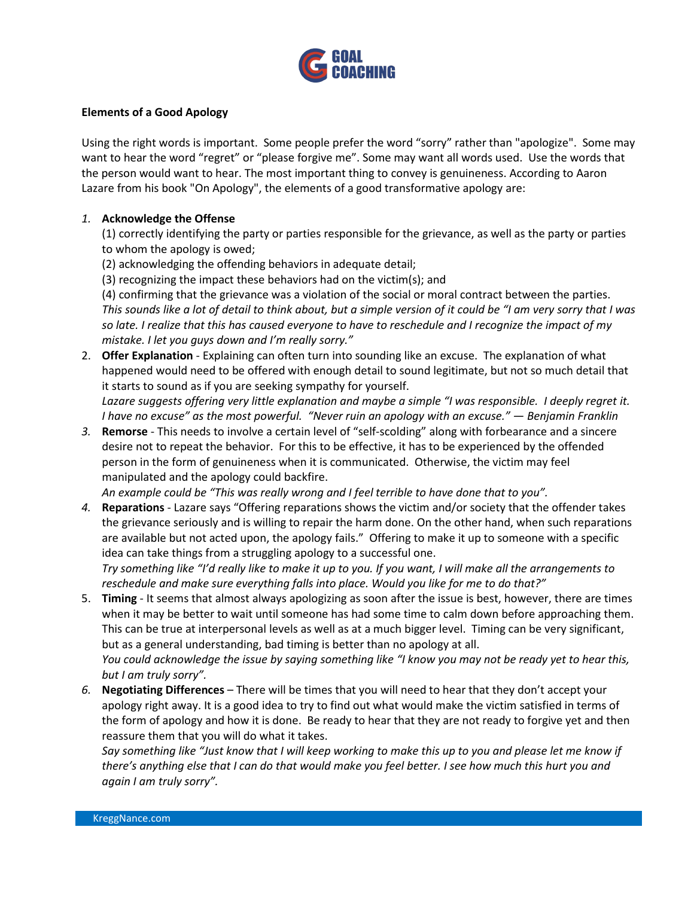

## **Elements of a Good Apology**

Using the right words is important. Some people prefer the word "sorry" rather than "apologize". Some may want to hear the word "regret" or "please forgive me". Some may want all words used. Use the words that the person would want to hear. The most important thing to convey is genuineness. According to Aaron Lazare from his book "On Apology", the elements of a good transformative apology are:

## *1.* **Acknowledge the Offense**

(1) correctly identifying the party or parties responsible for the grievance, as well as the party or parties to whom the apology is owed;

- (2) acknowledging the offending behaviors in adequate detail;
- (3) recognizing the impact these behaviors had on the victim(s); and

(4) confirming that the grievance was a violation of the social or moral contract between the parties. *This sounds like a lot of detail to think about, but a simple version of it could be "I am very sorry that I was so late. I realize that this has caused everyone to have to reschedule and I recognize the impact of my mistake. I let you guys down and I'm really sorry."*

2. **Offer Explanation** - Explaining can often turn into sounding like an excuse. The explanation of what happened would need to be offered with enough detail to sound legitimate, but not so much detail that it starts to sound as if you are seeking sympathy for yourself. *Lazare suggests offering very little explanation and maybe a simple "I was responsible. I deeply regret it.* 

*I have no excuse" as the most powerful. "Never ruin an apology with an excuse." ― Benjamin Franklin*

*3.* **Remorse** - This needs to involve a certain level of "self-scolding" along with forbearance and a sincere desire not to repeat the behavior. For this to be effective, it has to be experienced by the offended person in the form of genuineness when it is communicated. Otherwise, the victim may feel manipulated and the apology could backfire.

*An example could be "This was really wrong and I feel terrible to have done that to you".*

*4.* **Reparations** - Lazare says "Offering reparations shows the victim and/or society that the offender takes the grievance seriously and is willing to repair the harm done. On the other hand, when such reparations are available but not acted upon, the apology fails." Offering to make it up to someone with a specific idea can take things from a struggling apology to a successful one.

*Try something like "I'd really like to make it up to you. If you want, I will make all the arrangements to reschedule and make sure everything falls into place. Would you like for me to do that?"*

- 5. **Timing** It seems that almost always apologizing as soon after the issue is best, however, there are times when it may be better to wait until someone has had some time to calm down before approaching them. This can be true at interpersonal levels as well as at a much bigger level. Timing can be very significant, but as a general understanding, bad timing is better than no apology at all. *You could acknowledge the issue by saying something like "I know you may not be ready yet to hear this, but I am truly sorry".*
- *6.* **Negotiating Differences** There will be times that you will need to hear that they don't accept your apology right away. It is a good idea to try to find out what would make the victim satisfied in terms of the form of apology and how it is done. Be ready to hear that they are not ready to forgive yet and then reassure them that you will do what it takes.

*Say something like "Just know that I will keep working to make this up to you and please let me know if there's anything else that I can do that would make you feel better. I see how much this hurt you and again I am truly sorry".*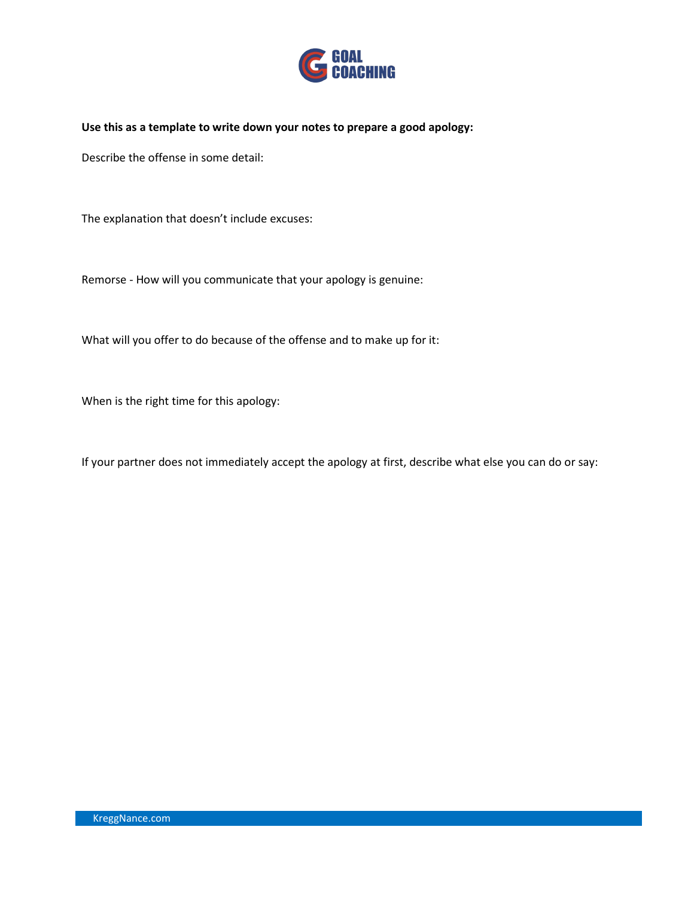

**Use this as a template to write down your notes to prepare a good apology:**

Describe the offense in some detail:

The explanation that doesn't include excuses:

Remorse - How will you communicate that your apology is genuine:

What will you offer to do because of the offense and to make up for it:

When is the right time for this apology:

If your partner does not immediately accept the apology at first, describe what else you can do or say: